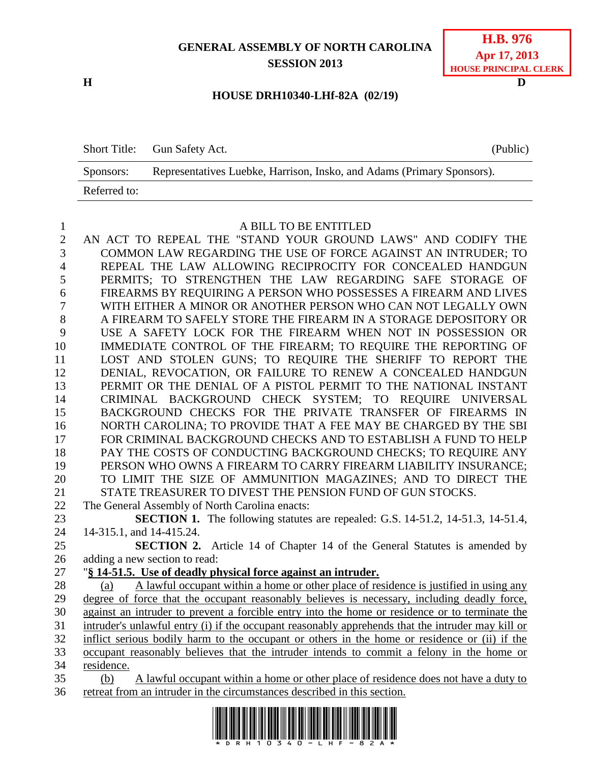## **GENERAL ASSEMBLY OF NORTH CAROLINA SESSION 2013**



**H D**

## **HOUSE DRH10340-LHf-82A (02/19)**

Short Title: Gun Safety Act. (Public) Sponsors: Representatives Luebke, Harrison, Insko, and Adams (Primary Sponsors). Referred to:

## A BILL TO BE ENTITLED

 AN ACT TO REPEAL THE "STAND YOUR GROUND LAWS" AND CODIFY THE COMMON LAW REGARDING THE USE OF FORCE AGAINST AN INTRUDER; TO REPEAL THE LAW ALLOWING RECIPROCITY FOR CONCEALED HANDGUN PERMITS; TO STRENGTHEN THE LAW REGARDING SAFE STORAGE OF FIREARMS BY REQUIRING A PERSON WHO POSSESSES A FIREARM AND LIVES WITH EITHER A MINOR OR ANOTHER PERSON WHO CAN NOT LEGALLY OWN A FIREARM TO SAFELY STORE THE FIREARM IN A STORAGE DEPOSITORY OR USE A SAFETY LOCK FOR THE FIREARM WHEN NOT IN POSSESSION OR IMMEDIATE CONTROL OF THE FIREARM; TO REQUIRE THE REPORTING OF LOST AND STOLEN GUNS; TO REQUIRE THE SHERIFF TO REPORT THE DENIAL, REVOCATION, OR FAILURE TO RENEW A CONCEALED HANDGUN PERMIT OR THE DENIAL OF A PISTOL PERMIT TO THE NATIONAL INSTANT CRIMINAL BACKGROUND CHECK SYSTEM; TO REQUIRE UNIVERSAL BACKGROUND CHECKS FOR THE PRIVATE TRANSFER OF FIREARMS IN NORTH CAROLINA; TO PROVIDE THAT A FEE MAY BE CHARGED BY THE SBI FOR CRIMINAL BACKGROUND CHECKS AND TO ESTABLISH A FUND TO HELP 18 PAY THE COSTS OF CONDUCTING BACKGROUND CHECKS; TO REQUIRE ANY PERSON WHO OWNS A FIREARM TO CARRY FIREARM LIABILITY INSURANCE; TO LIMIT THE SIZE OF AMMUNITION MAGAZINES; AND TO DIRECT THE STATE TREASURER TO DIVEST THE PENSION FUND OF GUN STOCKS. The General Assembly of North Carolina enacts: **SECTION 1.** The following statutes are repealed: G.S. 14-51.2, 14-51.3, 14-51.4, 14-315.1, and 14-415.24. **SECTION 2.** Article 14 of Chapter 14 of the General Statutes is amended by adding a new section to read: "**§ 14-51.5. Use of deadly physical force against an intruder.** (a) A lawful occupant within a home or other place of residence is justified in using any degree of force that the occupant reasonably believes is necessary, including deadly force, against an intruder to prevent a forcible entry into the home or residence or to terminate the intruder's unlawful entry (i) if the occupant reasonably apprehends that the intruder may kill or inflict serious bodily harm to the occupant or others in the home or residence or (ii) if the occupant reasonably believes that the intruder intends to commit a felony in the home or residence. (b) A lawful occupant within a home or other place of residence does not have a duty to retreat from an intruder in the circumstances described in this section.

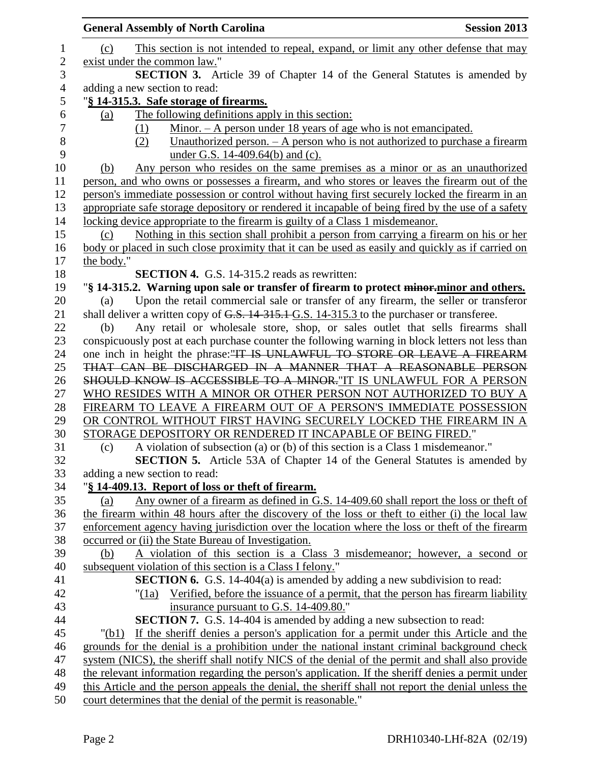|                | <b>General Assembly of North Carolina</b>                                                                                                                                                           | <b>Session 2013</b> |
|----------------|-----------------------------------------------------------------------------------------------------------------------------------------------------------------------------------------------------|---------------------|
| 1              | This section is not intended to repeal, expand, or limit any other defense that may<br>(c)                                                                                                          |                     |
| $\sqrt{2}$     | exist under the common law."                                                                                                                                                                        |                     |
| 3              | <b>SECTION 3.</b> Article 39 of Chapter 14 of the General Statutes is amended by                                                                                                                    |                     |
| $\overline{4}$ | adding a new section to read:                                                                                                                                                                       |                     |
| 5              | "§ 14-315.3. Safe storage of firearms.                                                                                                                                                              |                     |
| 6              | The following definitions apply in this section:<br>(a)                                                                                                                                             |                     |
| $\tau$         | Minor. $-A$ person under 18 years of age who is not emancipated.<br>(1)                                                                                                                             |                     |
| $8\,$          | Unauthorized person. $-$ A person who is not authorized to purchase a firearm<br>(2)                                                                                                                |                     |
| 9              | under G.S. 14-409.64(b) and (c).                                                                                                                                                                    |                     |
| 10             | Any person who resides on the same premises as a minor or as an unauthorized<br>(b)                                                                                                                 |                     |
| 11             | person, and who owns or possesses a firearm, and who stores or leaves the firearm out of the                                                                                                        |                     |
| 12             | person's immediate possession or control without having first securely locked the firearm in an                                                                                                     |                     |
| 13             | appropriate safe storage depository or rendered it incapable of being fired by the use of a safety                                                                                                  |                     |
| 14             | locking device appropriate to the firearm is guilty of a Class 1 misdemeanor.                                                                                                                       |                     |
| 15             | Nothing in this section shall prohibit a person from carrying a firearm on his or her<br>(c)                                                                                                        |                     |
| 16             | body or placed in such close proximity that it can be used as easily and quickly as if carried on                                                                                                   |                     |
| 17             | the body."                                                                                                                                                                                          |                     |
| 18             | <b>SECTION 4.</b> G.S. 14-315.2 reads as rewritten:                                                                                                                                                 |                     |
| 19<br>20       | "§ 14-315.2. Warning upon sale or transfer of firearm to protect minor-minor and others.<br>Upon the retail commercial sale or transfer of any firearm, the seller or transferor<br>(a)             |                     |
| 21             | shall deliver a written copy of G.S. 14-315.1 G.S. 14-315.3 to the purchaser or transferee.                                                                                                         |                     |
| 22             | Any retail or wholesale store, shop, or sales outlet that sells firearms shall<br>(b)                                                                                                               |                     |
| 23             | conspicuously post at each purchase counter the following warning in block letters not less than                                                                                                    |                     |
| 24             | one inch in height the phrase: "IT IS UNLAWFUL TO STORE OR LEAVE A FIREARM                                                                                                                          |                     |
| 25             | THAT CAN BE DISCHARGED IN A MANNER THAT A REASONABLE PERSON                                                                                                                                         |                     |
| 26             | SHOULD KNOW IS ACCESSIBLE TO A MINOR."IT IS UNLAWFUL FOR A PERSON                                                                                                                                   |                     |
| 27             | WHO RESIDES WITH A MINOR OR OTHER PERSON NOT AUTHORIZED TO BUY A                                                                                                                                    |                     |
| 28             | FIREARM TO LEAVE A FIREARM OUT OF A PERSON'S IMMEDIATE POSSESSION                                                                                                                                   |                     |
| 29             | OR CONTROL WITHOUT FIRST HAVING SECURELY LOCKED THE FIREARM IN A                                                                                                                                    |                     |
| 30             | STORAGE DEPOSITORY OR RENDERED IT INCAPABLE OF BEING FIRED."                                                                                                                                        |                     |
| 31             | A violation of subsection (a) or (b) of this section is a Class 1 misdemeanor."<br>(c)                                                                                                              |                     |
| 32             | <b>SECTION 5.</b> Article 53A of Chapter 14 of the General Statutes is amended by                                                                                                                   |                     |
| 33             | adding a new section to read:                                                                                                                                                                       |                     |
| 34             | "§ 14-409.13. Report of loss or theft of firearm.                                                                                                                                                   |                     |
| 35             | Any owner of a firearm as defined in G.S. 14-409.60 shall report the loss or theft of<br>(a)                                                                                                        |                     |
| 36<br>37       | the firearm within 48 hours after the discovery of the loss or theft to either (i) the local law<br>enforcement agency having jurisdiction over the location where the loss or theft of the firearm |                     |
| 38             | occurred or (ii) the State Bureau of Investigation.                                                                                                                                                 |                     |
| 39             | A violation of this section is a Class 3 misdemeanor; however, a second or<br>(b)                                                                                                                   |                     |
| 40             | subsequent violation of this section is a Class I felony."                                                                                                                                          |                     |
| 41             | <b>SECTION 6.</b> G.S. 14-404(a) is amended by adding a new subdivision to read:                                                                                                                    |                     |
| 42             | "(1a) Verified, before the issuance of a permit, that the person has firearm liability                                                                                                              |                     |
| 43             | insurance pursuant to G.S. 14-409.80."                                                                                                                                                              |                     |
| 44             | <b>SECTION 7.</b> G.S. 14-404 is amended by adding a new subsection to read:                                                                                                                        |                     |
| 45             | If the sheriff denies a person's application for a permit under this Article and the<br>"(b1)                                                                                                       |                     |
| 46             | grounds for the denial is a prohibition under the national instant criminal background check                                                                                                        |                     |
| 47             | system (NICS), the sheriff shall notify NICS of the denial of the permit and shall also provide                                                                                                     |                     |
| 48             | the relevant information regarding the person's application. If the sheriff denies a permit under                                                                                                   |                     |
| 49             | this Article and the person appeals the denial, the sheriff shall not report the denial unless the                                                                                                  |                     |
| 50             | court determines that the denial of the permit is reasonable."                                                                                                                                      |                     |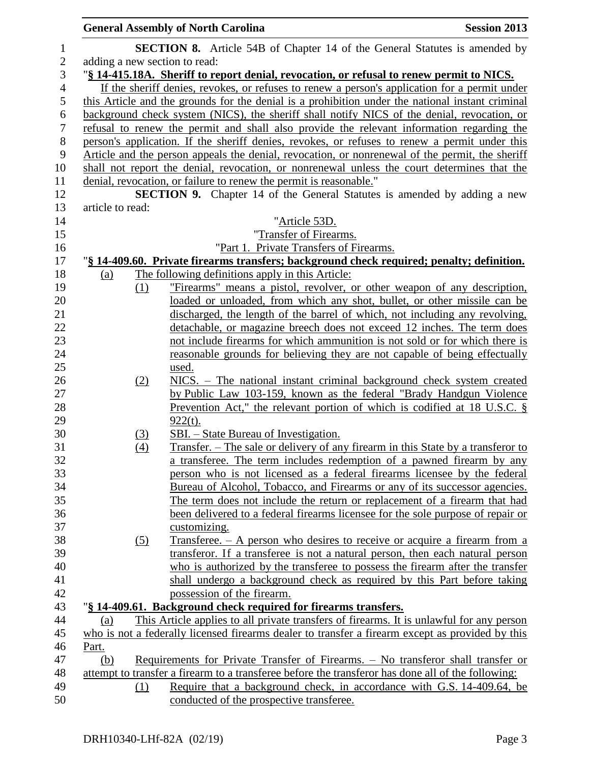|                |                  |            | <b>General Assembly of North Carolina</b>                                                                                                     | <b>Session 2013</b> |
|----------------|------------------|------------|-----------------------------------------------------------------------------------------------------------------------------------------------|---------------------|
| $\mathbf{1}$   |                  |            | <b>SECTION 8.</b> Article 54B of Chapter 14 of the General Statutes is amended by                                                             |                     |
| $\sqrt{2}$     |                  |            | adding a new section to read:                                                                                                                 |                     |
| 3              |                  |            | "§ 14-415.18A. Sheriff to report denial, revocation, or refusal to renew permit to NICS.                                                      |                     |
| $\overline{4}$ |                  |            | If the sheriff denies, revokes, or refuses to renew a person's application for a permit under                                                 |                     |
| $\mathfrak{S}$ |                  |            | this Article and the grounds for the denial is a prohibition under the national instant criminal                                              |                     |
| $\sqrt{6}$     |                  |            | background check system (NICS), the sheriff shall notify NICS of the denial, revocation, or                                                   |                     |
| $\overline{7}$ |                  |            | refusal to renew the permit and shall also provide the relevant information regarding the                                                     |                     |
| $8\,$          |                  |            | person's application. If the sheriff denies, revokes, or refuses to renew a permit under this                                                 |                     |
| $\mathbf{9}$   |                  |            | Article and the person appeals the denial, revocation, or nonrenewal of the permit, the sheriff                                               |                     |
| 10             |                  |            | shall not report the denial, revocation, or nonrenewal unless the court determines that the                                                   |                     |
| 11             |                  |            | denial, revocation, or failure to renew the permit is reasonable."                                                                            |                     |
| 12             |                  |            | <b>SECTION 9.</b> Chapter 14 of the General Statutes is amended by adding a new                                                               |                     |
| 13             | article to read: |            |                                                                                                                                               |                     |
| 14             |                  |            | "Article 53D.                                                                                                                                 |                     |
| 15             |                  |            | "Transfer of Firearms.                                                                                                                        |                     |
| 16             |                  |            | "Part 1. Private Transfers of Firearms.                                                                                                       |                     |
| 17             |                  |            | "§ 14-409.60. Private firearms transfers; background check required; penalty; definition.                                                     |                     |
| 18             | <u>(a)</u>       |            | The following definitions apply in this Article:                                                                                              |                     |
| 19             |                  | (1)        | "Firearms" means a pistol, revolver, or other weapon of any description,                                                                      |                     |
| 20             |                  |            | loaded or unloaded, from which any shot, bullet, or other missile can be                                                                      |                     |
| 21             |                  |            | discharged, the length of the barrel of which, not including any revolving,                                                                   |                     |
| 22             |                  |            | detachable, or magazine breech does not exceed 12 inches. The term does                                                                       |                     |
| 23             |                  |            | not include firearms for which ammunition is not sold or for which there is                                                                   |                     |
| 24             |                  |            | reasonable grounds for believing they are not capable of being effectually                                                                    |                     |
| 25<br>26       |                  |            | <u>used.</u>                                                                                                                                  |                     |
| 27             |                  | (2)        | NICS. - The national instant criminal background check system created<br>by Public Law 103-159, known as the federal "Brady Handgun Violence" |                     |
| 28             |                  |            | <u>Prevention Act," the relevant portion of which is codified at 18 U.S.C. <math>\S</math></u>                                                |                     |
| 29             |                  |            | $922(t)$ .                                                                                                                                    |                     |
| 30             |                  | <u>(3)</u> | SBI. – State Bureau of Investigation.                                                                                                         |                     |
| 31             |                  | (4)        | Transfer. – The sale or delivery of any firearm in this State by a transferor to                                                              |                     |
| 32             |                  |            | a transferee. The term includes redemption of a pawned firearm by any                                                                         |                     |
| 33             |                  |            | person who is not licensed as a federal firearms licensee by the federal                                                                      |                     |
| 34             |                  |            | Bureau of Alcohol, Tobacco, and Firearms or any of its successor agencies.                                                                    |                     |
| 35             |                  |            | The term does not include the return or replacement of a firearm that had                                                                     |                     |
| 36             |                  |            | been delivered to a federal firearms licensee for the sole purpose of repair or                                                               |                     |
| 37             |                  |            | customizing.                                                                                                                                  |                     |
| 38             |                  | (5)        | <u>Transferee. – A person who desires to receive or acquire a firearm from a</u>                                                              |                     |
| 39             |                  |            | transferor. If a transferee is not a natural person, then each natural person                                                                 |                     |
| 40             |                  |            | who is authorized by the transferee to possess the firearm after the transfer                                                                 |                     |
| 41             |                  |            | shall undergo a background check as required by this Part before taking                                                                       |                     |
| 42             |                  |            | possession of the firearm.                                                                                                                    |                     |
| 43             |                  |            | "§ 14-409.61. Background check required for firearms transfers.                                                                               |                     |
| 44             | (a)              |            | This Article applies to all private transfers of firearms. It is unlawful for any person                                                      |                     |
| 45             |                  |            | who is not a federally licensed firearms dealer to transfer a firearm except as provided by this                                              |                     |
| 46             | Part.            |            |                                                                                                                                               |                     |
| 47             | (b)              |            | Requirements for Private Transfer of Firearms. - No transferor shall transfer or                                                              |                     |
| 48             |                  |            | attempt to transfer a firearm to a transferee before the transferor has done all of the following:                                            |                     |
| 49             |                  | (1)        | Require that a background check, in accordance with G.S. 14-409.64, be                                                                        |                     |
| 50             |                  |            | conducted of the prospective transferee.                                                                                                      |                     |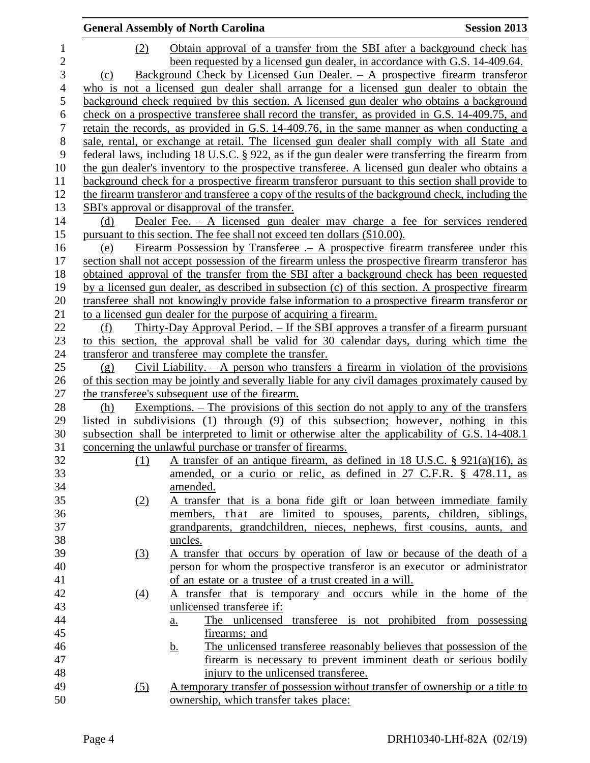|                  |                  | <b>General Assembly of North Carolina</b>                                                          | <b>Session 2013</b> |
|------------------|------------------|----------------------------------------------------------------------------------------------------|---------------------|
| $\mathbf{1}$     | (2)              | Obtain approval of a transfer from the SBI after a background check has                            |                     |
| $\overline{c}$   |                  | been requested by a licensed gun dealer, in accordance with G.S. 14-409.64.                        |                     |
| $\overline{3}$   | (c)              | Background Check by Licensed Gun Dealer. - A prospective firearm transferor                        |                     |
| $\overline{4}$   |                  | who is not a licensed gun dealer shall arrange for a licensed gun dealer to obtain the             |                     |
| 5                |                  | background check required by this section. A licensed gun dealer who obtains a background          |                     |
| 6                |                  | check on a prospective transferee shall record the transfer, as provided in G.S. 14-409.75, and    |                     |
| $\boldsymbol{7}$ |                  | retain the records, as provided in G.S. 14-409.76, in the same manner as when conducting a         |                     |
| 8                |                  | sale, rental, or exchange at retail. The licensed gun dealer shall comply with all State and       |                     |
| 9                |                  | federal laws, including 18 U.S.C. § 922, as if the gun dealer were transferring the firearm from   |                     |
| 10               |                  | the gun dealer's inventory to the prospective transferee. A licensed gun dealer who obtains a      |                     |
| 11               |                  | background check for a prospective firearm transferor pursuant to this section shall provide to    |                     |
| 12               |                  | the firearm transferor and transferee a copy of the results of the background check, including the |                     |
| 13               |                  | SBI's approval or disapproval of the transfer.                                                     |                     |
| 14               | (d)              | Dealer Fee. $-$ A licensed gun dealer may charge a fee for services rendered                       |                     |
| 15               |                  | pursuant to this section. The fee shall not exceed ten dollars (\$10.00).                          |                     |
| 16               | (e)              | <u>Firearm Possession by Transferee .- A prospective firearm transferee under this</u>             |                     |
| 17               |                  | section shall not accept possession of the firearm unless the prospective firearm transferor has   |                     |
| 18               |                  | obtained approval of the transfer from the SBI after a background check has been requested         |                     |
| 19               |                  | by a licensed gun dealer, as described in subsection (c) of this section. A prospective firearm    |                     |
| 20               |                  | transferee shall not knowingly provide false information to a prospective firearm transferor or    |                     |
| 21               |                  | to a licensed gun dealer for the purpose of acquiring a firearm.                                   |                     |
| 22               | (f)              | Thirty-Day Approval Period. - If the SBI approves a transfer of a firearm pursuant                 |                     |
| 23               |                  | to this section, the approval shall be valid for 30 calendar days, during which time the           |                     |
| 24               |                  | transferor and transferee may complete the transfer.                                               |                     |
| 25               | (g)              | Civil Liability. $- A$ person who transfers a firearm in violation of the provisions               |                     |
| 26               |                  | of this section may be jointly and severally liable for any civil damages proximately caused by    |                     |
| 27               |                  | the transferee's subsequent use of the firearm.                                                    |                     |
| 28               | (h)              | <u>Exemptions. – The provisions of this section do not apply to any of the transfers</u>           |                     |
| 29               |                  | listed in subdivisions (1) through (9) of this subsection; however, nothing in this                |                     |
| 30               |                  | subsection shall be interpreted to limit or otherwise alter the applicability of G.S. 14-408.1     |                     |
| 31               |                  | concerning the unlawful purchase or transfer of firearms.                                          |                     |
| 32               | (1)              | <u>A transfer of an antique firearm, as defined in 18 U.S.C. § 921(a)(16), as</u>                  |                     |
| 33               |                  | amended, or a curio or relic, as defined in 27 C.F.R. § 478.11, as                                 |                     |
| 34<br>35         |                  | amended.<br>A transfer that is a bona fide gift or loan between immediate family                   |                     |
| 36               | (2)              | are limited to spouses, parents, children, siblings,<br>members,<br>that                           |                     |
| 37               |                  | grandparents, grandchildren, nieces, nephews, first cousins, aunts, and                            |                     |
| 38               |                  | uncles.                                                                                            |                     |
| 39               |                  | A transfer that occurs by operation of law or because of the death of a                            |                     |
| 40               | $\left(3\right)$ | person for whom the prospective transferor is an executor or administrator                         |                     |
| 41               |                  | of an estate or a trustee of a trust created in a will.                                            |                     |
| 42               | $\left(4\right)$ | A transfer that is temporary and occurs while in the home of the                                   |                     |
| 43               |                  | unlicensed transferee if:                                                                          |                     |
| 44               |                  | The unlicensed transferee is not prohibited from possessing<br>$\underline{a}$ .                   |                     |
| 45               |                  | firearms; and                                                                                      |                     |
| 46               |                  | The unlicensed transferee reasonably believes that possession of the<br><u>b.</u>                  |                     |
| 47               |                  | firearm is necessary to prevent imminent death or serious bodily                                   |                     |
| 48               |                  | injury to the unlicensed transferee.                                                               |                     |
| 49               | (5)              | A temporary transfer of possession without transfer of ownership or a title to                     |                     |
| 50               |                  | ownership, which transfer takes place:                                                             |                     |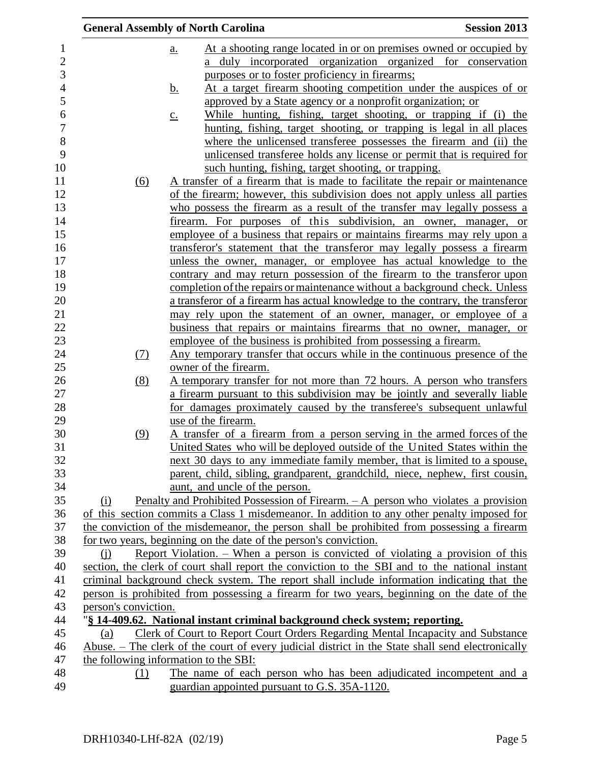|                      | <b>General Assembly of North Carolina</b>                                                         | <b>Session 2013</b> |
|----------------------|---------------------------------------------------------------------------------------------------|---------------------|
|                      | At a shooting range located in or on premises owned or occupied by<br><u>a.</u>                   |                     |
|                      | duly incorporated organization organized for conservation<br>a                                    |                     |
|                      | purposes or to foster proficiency in firearms;                                                    |                     |
|                      | At a target firearm shooting competition under the auspices of or<br><u>b.</u>                    |                     |
|                      | approved by a State agency or a nonprofit organization; or                                        |                     |
|                      | While hunting, fishing, target shooting, or trapping if (i) the<br>$\underline{C}$ .              |                     |
|                      | hunting, fishing, target shooting, or trapping is legal in all places                             |                     |
|                      | where the unlicensed transferee possesses the firearm and (ii) the                                |                     |
|                      | unlicensed transferee holds any license or permit that is required for                            |                     |
|                      | such hunting, fishing, target shooting, or trapping.                                              |                     |
| (6)                  | A transfer of a firearm that is made to facilitate the repair or maintenance                      |                     |
|                      | of the firearm; however, this subdivision does not apply unless all parties                       |                     |
|                      | who possess the firearm as a result of the transfer may legally possess a                         |                     |
|                      | firearm. For purposes of this subdivision, an owner, manager, or                                  |                     |
|                      | employee of a business that repairs or maintains firearms may rely upon a                         |                     |
|                      | transferor's statement that the transferor may legally possess a firearm                          |                     |
|                      | unless the owner, manager, or employee has actual knowledge to the                                |                     |
|                      | contrary and may return possession of the firearm to the transferor upon                          |                     |
|                      | completion of the repairs or maintenance without a background check. Unless                       |                     |
|                      | a transferor of a firearm has actual knowledge to the contrary, the transferor                    |                     |
|                      | may rely upon the statement of an owner, manager, or employee of a                                |                     |
|                      | business that repairs or maintains firearms that no owner, manager, or                            |                     |
|                      | employee of the business is prohibited from possessing a firearm.                                 |                     |
| (7)                  | Any temporary transfer that occurs while in the continuous presence of the                        |                     |
|                      | owner of the firearm.                                                                             |                     |
| (8)                  | <u>A temporary transfer for not more than 72 hours. A person who transfers</u>                    |                     |
|                      | a firearm pursuant to this subdivision may be jointly and severally liable                        |                     |
|                      | for damages proximately caused by the transferee's subsequent unlawful                            |                     |
|                      | use of the firearm.                                                                               |                     |
| (9)                  | A transfer of a firearm from a person serving in the armed forces of the                          |                     |
|                      | United States who will be deployed outside of the United States within the                        |                     |
|                      | next 30 days to any immediate family member, that is limited to a spouse,                         |                     |
|                      | parent, child, sibling, grandparent, grandchild, niece, nephew, first cousin,                     |                     |
|                      | aunt, and uncle of the person.                                                                    |                     |
| (i)                  | Penalty and Prohibited Possession of Firearm. - A person who violates a provision                 |                     |
|                      | of this section commits a Class 1 misdemeanor. In addition to any other penalty imposed for       |                     |
|                      | the conviction of the misdemeanor, the person shall be prohibited from possessing a firearm       |                     |
|                      | for two years, beginning on the date of the person's conviction.                                  |                     |
| (i)                  | Report Violation. – When a person is convicted of violating a provision of this                   |                     |
|                      | section, the clerk of court shall report the conviction to the SBI and to the national instant    |                     |
|                      | criminal background check system. The report shall include information indicating that the        |                     |
|                      | person is prohibited from possessing a firearm for two years, beginning on the date of the        |                     |
| person's conviction. |                                                                                                   |                     |
|                      | "§ 14-409.62. National instant criminal background check system; reporting.                       |                     |
| (a)                  | Clerk of Court to Report Court Orders Regarding Mental Incapacity and Substance                   |                     |
|                      | Abuse. – The clerk of the court of every judicial district in the State shall send electronically |                     |
|                      | the following information to the SBI:                                                             |                     |
| (1)                  | The name of each person who has been adjudicated incompetent and a                                |                     |
|                      | guardian appointed pursuant to G.S. 35A-1120.                                                     |                     |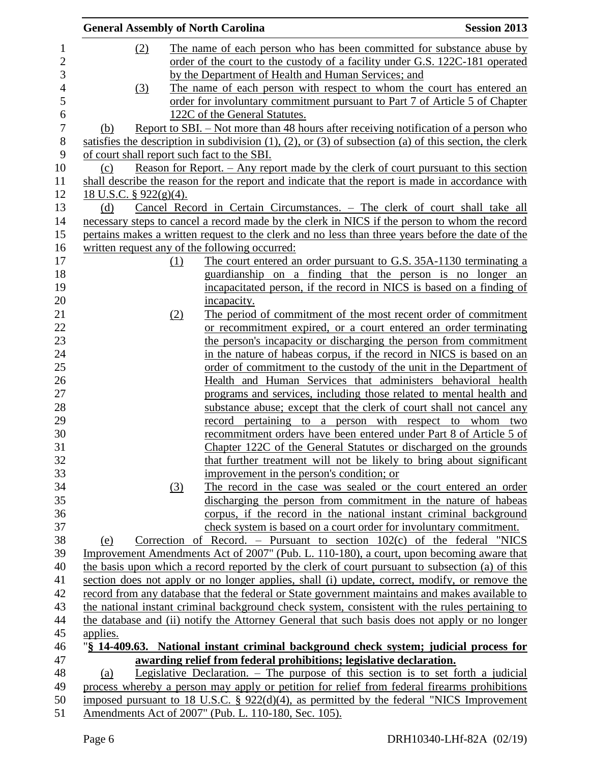| <b>General Assembly of North Carolina</b>   |     |                                                                                                                                                     | <b>Session 2013</b> |
|---------------------------------------------|-----|-----------------------------------------------------------------------------------------------------------------------------------------------------|---------------------|
| (2)                                         |     | The name of each person who has been committed for substance abuse by                                                                               |                     |
|                                             |     | order of the court to the custody of a facility under G.S. 122C-181 operated                                                                        |                     |
|                                             |     | by the Department of Health and Human Services; and                                                                                                 |                     |
| (3)                                         |     | The name of each person with respect to whom the court has entered an                                                                               |                     |
|                                             |     | order for involuntary commitment pursuant to Part 7 of Article 5 of Chapter                                                                         |                     |
|                                             |     | 122C of the General Statutes.                                                                                                                       |                     |
| (b)                                         |     | <u>Report to SBI. – Not more than 48 hours after receiving notification of a person who</u>                                                         |                     |
|                                             |     | satisfies the description in subdivision $(1)$ , $(2)$ , or $(3)$ of subsection (a) of this section, the clerk                                      |                     |
| of court shall report such fact to the SBI. |     |                                                                                                                                                     |                     |
| (c)                                         |     | Reason for Report. – Any report made by the clerk of court pursuant to this section                                                                 |                     |
|                                             |     | shall describe the reason for the report and indicate that the report is made in accordance with                                                    |                     |
| <u>18 U.S.C. § 922(g)(4).</u>               |     |                                                                                                                                                     |                     |
| (d)                                         |     | Cancel Record in Certain Circumstances. - The clerk of court shall take all                                                                         |                     |
|                                             |     | necessary steps to cancel a record made by the clerk in NICS if the person to whom the record                                                       |                     |
|                                             |     | pertains makes a written request to the clerk and no less than three years before the date of the                                                   |                     |
|                                             |     | written request any of the following occurred:                                                                                                      |                     |
|                                             | (1) | The court entered an order pursuant to G.S. 35A-1130 terminating a                                                                                  |                     |
|                                             |     | guardianship on a finding that the person is no longer an                                                                                           |                     |
|                                             |     | incapacitated person, if the record in NICS is based on a finding of                                                                                |                     |
|                                             |     | incapacity.                                                                                                                                         |                     |
|                                             | (2) | The period of commitment of the most recent order of commitment                                                                                     |                     |
|                                             |     | or recommitment expired, or a court entered an order terminating                                                                                    |                     |
|                                             |     | the person's incapacity or discharging the person from commitment                                                                                   |                     |
|                                             |     | in the nature of habeas corpus, if the record in NICS is based on an                                                                                |                     |
|                                             |     | order of commitment to the custody of the unit in the Department of                                                                                 |                     |
|                                             |     | Health and Human Services that administers behavioral health                                                                                        |                     |
|                                             |     | programs and services, including those related to mental health and                                                                                 |                     |
|                                             |     | substance abuse; except that the clerk of court shall not cancel any                                                                                |                     |
|                                             |     | record pertaining to a person with respect to whom two                                                                                              |                     |
|                                             |     | recommitment orders have been entered under Part 8 of Article 5 of                                                                                  |                     |
|                                             |     | Chapter 122C of the General Statutes or discharged on the grounds                                                                                   |                     |
|                                             |     | that further treatment will not be likely to bring about significant                                                                                |                     |
|                                             |     | improvement in the person's condition; or                                                                                                           |                     |
|                                             | (3) | The record in the case was sealed or the court entered an order                                                                                     |                     |
|                                             |     | discharging the person from commitment in the nature of habeas                                                                                      |                     |
|                                             |     | corpus, if the record in the national instant criminal background                                                                                   |                     |
|                                             |     | check system is based on a court order for involuntary commitment.                                                                                  |                     |
| (e)                                         |     | Correction of Record. – Pursuant to section $102(c)$ of the federal "NICS                                                                           |                     |
|                                             |     | Improvement Amendments Act of 2007" (Pub. L. 110-180), a court, upon becoming aware that                                                            |                     |
|                                             |     | the basis upon which a record reported by the clerk of court pursuant to subsection (a) of this                                                     |                     |
|                                             |     | section does not apply or no longer applies, shall (i) update, correct, modify, or remove the                                                       |                     |
|                                             |     | record from any database that the federal or State government maintains and makes available to                                                      |                     |
|                                             |     | the national instant criminal background check system, consistent with the rules pertaining to                                                      |                     |
|                                             |     | the database and (ii) notify the Attorney General that such basis does not apply or no longer                                                       |                     |
| applies.                                    |     |                                                                                                                                                     |                     |
|                                             |     | "§ 14-409.63. National instant criminal background check system; judicial process for                                                               |                     |
|                                             |     | awarding relief from federal prohibitions; legislative declaration.                                                                                 |                     |
| (a)                                         |     | Legislative Declaration. - The purpose of this section is to set forth a judicial                                                                   |                     |
|                                             |     | process whereby a person may apply or petition for relief from federal firearms prohibitions                                                        |                     |
|                                             |     | imposed pursuant to 18 U.S.C. § $922(d)(4)$ , as permitted by the federal "NICS Improvement<br>Amendments Act of 2007" (Pub. L. 110-180, Sec. 105). |                     |
|                                             |     |                                                                                                                                                     |                     |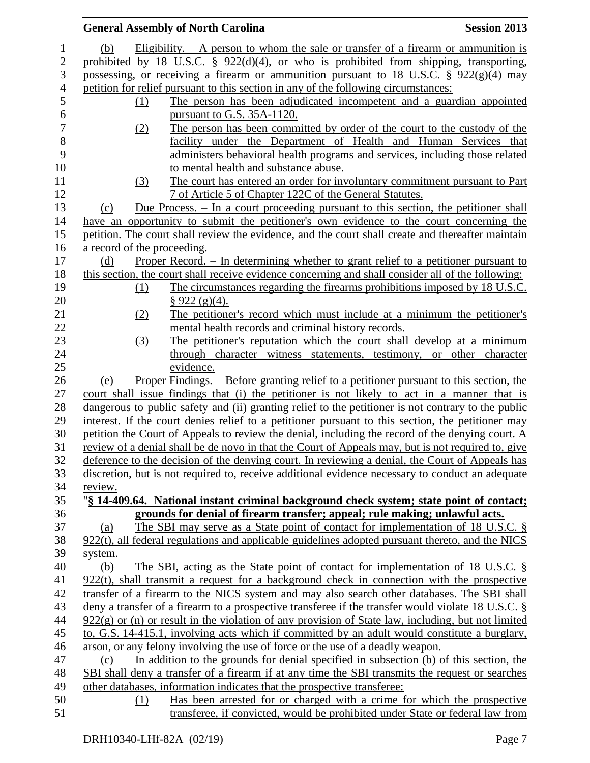|                             | <b>General Assembly of North Carolina</b>                                                             | <b>Session 2013</b> |
|-----------------------------|-------------------------------------------------------------------------------------------------------|---------------------|
| (b)                         | Eligibility. $- A$ person to whom the sale or transfer of a firearm or ammunition is                  |                     |
|                             | prohibited by 18 U.S.C. $\S$ 922(d)(4), or who is prohibited from shipping, transporting,             |                     |
|                             | possessing, or receiving a firearm or ammunition pursuant to 18 U.S.C. $\S$ 922(g)(4) may             |                     |
|                             | petition for relief pursuant to this section in any of the following circumstances:                   |                     |
| $\Omega$                    | The person has been adjudicated incompetent and a guardian appointed                                  |                     |
|                             | pursuant to G.S. 35A-1120.                                                                            |                     |
| (2)                         | The person has been committed by order of the court to the custody of the                             |                     |
|                             | facility under the Department of Health and Human Services that                                       |                     |
|                             | administers behavioral health programs and services, including those related                          |                     |
|                             | to mental health and substance abuse.                                                                 |                     |
| (3)                         | The court has entered an order for involuntary commitment pursuant to Part                            |                     |
|                             | 7 of Article 5 of Chapter 122C of the General Statutes.                                               |                     |
| (c)                         | Due Process. - In a court proceeding pursuant to this section, the petitioner shall                   |                     |
|                             | have an opportunity to submit the petitioner's own evidence to the court concerning the               |                     |
|                             | petition. The court shall review the evidence, and the court shall create and thereafter maintain     |                     |
| a record of the proceeding. |                                                                                                       |                     |
| (d)                         | <u>Proper Record. – In determining whether to grant relief to a petitioner pursuant to</u>            |                     |
|                             | this section, the court shall receive evidence concerning and shall consider all of the following:    |                     |
| (1)                         | The circumstances regarding the firearms prohibitions imposed by 18 U.S.C.                            |                     |
|                             | $\S 922$ (g)(4).                                                                                      |                     |
| (2)                         | The petitioner's record which must include at a minimum the petitioner's                              |                     |
|                             | mental health records and criminal history records.                                                   |                     |
| (3)                         | The petitioner's reputation which the court shall develop at a minimum                                |                     |
|                             | through character witness statements, testimony, or other character                                   |                     |
|                             | evidence.                                                                                             |                     |
| (e)                         | <u>Proper Findings. – Before granting relief to a petitioner pursuant to this section, the</u>        |                     |
|                             | court shall issue findings that (i) the petitioner is not likely to act in a manner that is           |                     |
|                             | dangerous to public safety and (ii) granting relief to the petitioner is not contrary to the public   |                     |
|                             | interest. If the court denies relief to a petitioner pursuant to this section, the petitioner may     |                     |
|                             | petition the Court of Appeals to review the denial, including the record of the denying court. A      |                     |
|                             | review of a denial shall be de novo in that the Court of Appeals may, but is not required to, give    |                     |
|                             | deference to the decision of the denying court. In reviewing a denial, the Court of Appeals has       |                     |
|                             | discretion, but is not required to, receive additional evidence necessary to conduct an adequate      |                     |
| review.                     |                                                                                                       |                     |
|                             | "§ 14-409.64. National instant criminal background check system; state point of contact;              |                     |
|                             | grounds for denial of firearm transfer; appeal; rule making; unlawful acts.                           |                     |
| (a)                         | The SBI may serve as a State point of contact for implementation of 18 U.S.C. §                       |                     |
|                             | $922(t)$ , all federal regulations and applicable guidelines adopted pursuant thereto, and the NICS   |                     |
| system.                     |                                                                                                       |                     |
| (b)                         | The SBI, acting as the State point of contact for implementation of 18 U.S.C. $\S$                    |                     |
|                             | $922(t)$ , shall transmit a request for a background check in connection with the prospective         |                     |
|                             | transfer of a firearm to the NICS system and may also search other databases. The SBI shall           |                     |
|                             | deny a transfer of a firearm to a prospective transferee if the transfer would violate 18 U.S.C. $\S$ |                     |
|                             | $922(g)$ or (n) or result in the violation of any provision of State law, including, but not limited  |                     |
|                             | to, G.S. 14-415.1, involving acts which if committed by an adult would constitute a burglary,         |                     |
|                             | arson, or any felony involving the use of force or the use of a deadly weapon.                        |                     |
|                             |                                                                                                       |                     |
| (c)                         | In addition to the grounds for denial specified in subsection (b) of this section, the                |                     |
|                             | SBI shall deny a transfer of a firearm if at any time the SBI transmits the request or searches       |                     |
|                             | other databases, information indicates that the prospective transferee:                               |                     |
| (1)                         | Has been arrested for or charged with a crime for which the prospective                               |                     |
|                             | transferee, if convicted, would be prohibited under State or federal law from                         |                     |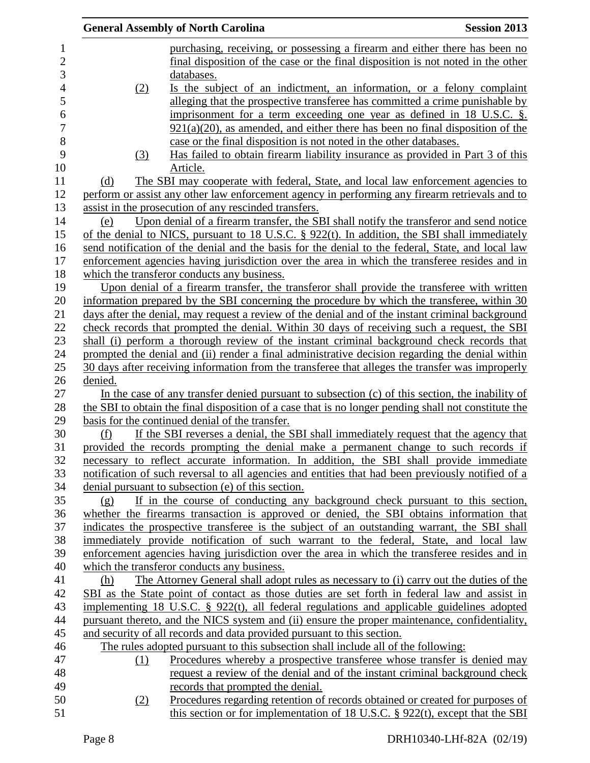|         | <b>General Assembly of North Carolina</b>                                                            | <b>Session 2013</b> |
|---------|------------------------------------------------------------------------------------------------------|---------------------|
|         | purchasing, receiving, or possessing a firearm and either there has been no                          |                     |
|         | final disposition of the case or the final disposition is not noted in the other                     |                     |
|         | databases.                                                                                           |                     |
| (2)     | Is the subject of an indictment, an information, or a felony complaint                               |                     |
|         | alleging that the prospective transferee has committed a crime punishable by                         |                     |
|         | imprisonment for a term exceeding one year as defined in 18 U.S.C. $\S$ .                            |                     |
|         | $921(a)(20)$ , as amended, and either there has been no final disposition of the                     |                     |
|         | case or the final disposition is not noted in the other databases.                                   |                     |
| (3)     | Has failed to obtain firearm liability insurance as provided in Part 3 of this                       |                     |
|         | Article.                                                                                             |                     |
| (d)     | The SBI may cooperate with federal, State, and local law enforcement agencies to                     |                     |
|         | perform or assist any other law enforcement agency in performing any firearm retrievals and to       |                     |
|         | assist in the prosecution of any rescinded transfers.                                                |                     |
| (e)     | Upon denial of a firearm transfer, the SBI shall notify the transferor and send notice               |                     |
|         | of the denial to NICS, pursuant to 18 U.S.C. $\S$ 922(t). In addition, the SBI shall immediately     |                     |
|         | send notification of the denial and the basis for the denial to the federal, State, and local law    |                     |
|         | enforcement agencies having jurisdiction over the area in which the transferee resides and in        |                     |
|         | which the transferor conducts any business.                                                          |                     |
|         | Upon denial of a firearm transfer, the transferor shall provide the transferee with written          |                     |
|         | information prepared by the SBI concerning the procedure by which the transferee, within 30          |                     |
|         | days after the denial, may request a review of the denial and of the instant criminal background     |                     |
|         | check records that prompted the denial. Within 30 days of receiving such a request, the SBI          |                     |
|         | shall (i) perform a thorough review of the instant criminal background check records that            |                     |
|         | prompted the denial and (ii) render a final administrative decision regarding the denial within      |                     |
|         | 30 days after receiving information from the transferee that alleges the transfer was improperly     |                     |
| denied. |                                                                                                      |                     |
|         | In the case of any transfer denied pursuant to subsection $(c)$ of this section, the inability of    |                     |
|         | the SBI to obtain the final disposition of a case that is no longer pending shall not constitute the |                     |
|         | basis for the continued denial of the transfer.                                                      |                     |
| (f)     | If the SBI reverses a denial, the SBI shall immediately request that the agency that                 |                     |
|         | provided the records prompting the denial make a permanent change to such records if                 |                     |
|         | necessary to reflect accurate information. In addition, the SBI shall provide immediate              |                     |
|         | notification of such reversal to all agencies and entities that had been previously notified of a    |                     |
|         | denial pursuant to subsection (e) of this section.                                                   |                     |
| (g)     | If in the course of conducting any background check pursuant to this section,                        |                     |
|         | whether the firearms transaction is approved or denied, the SBI obtains information that             |                     |
|         | indicates the prospective transferee is the subject of an outstanding warrant, the SBI shall         |                     |
|         | immediately provide notification of such warrant to the federal, State, and local law                |                     |
|         | enforcement agencies having jurisdiction over the area in which the transferee resides and in        |                     |
|         | which the transferor conducts any business.                                                          |                     |
| (h)     | The Attorney General shall adopt rules as necessary to (i) carry out the duties of the               |                     |
|         | SBI as the State point of contact as those duties are set forth in federal law and assist in         |                     |
|         | implementing 18 U.S.C. $\S$ 922(t), all federal regulations and applicable guidelines adopted        |                     |
|         | pursuant thereto, and the NICS system and (ii) ensure the proper maintenance, confidentiality,       |                     |
|         | and security of all records and data provided pursuant to this section.                              |                     |
|         | The rules adopted pursuant to this subsection shall include all of the following:                    |                     |
| (1)     | Procedures whereby a prospective transferee whose transfer is denied may                             |                     |
|         | request a review of the denial and of the instant criminal background check                          |                     |
|         | records that prompted the denial.                                                                    |                     |
| (2)     | Procedures regarding retention of records obtained or created for purposes of                        |                     |
|         | this section or for implementation of $18$ U.S.C. § 922(t), except that the SBI                      |                     |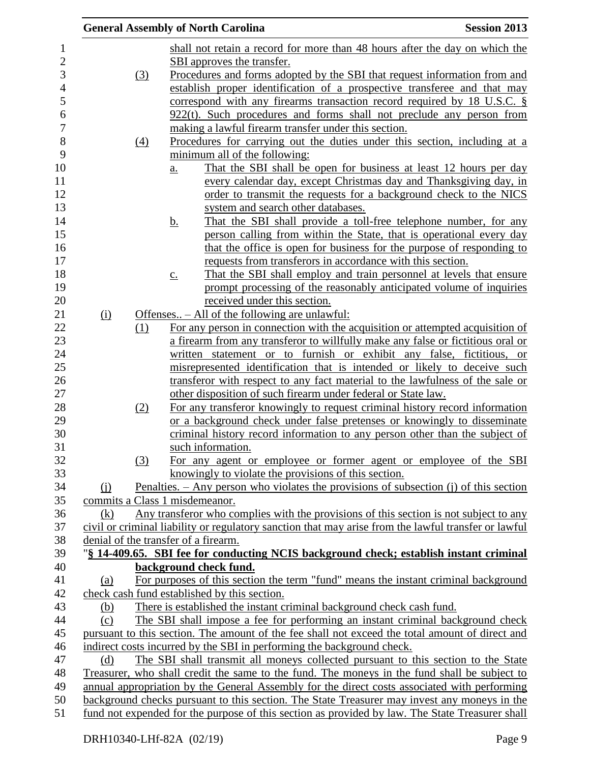|     |                 | <b>General Assembly of North Carolina</b>                                                                                      | <b>Session 2013</b> |
|-----|-----------------|--------------------------------------------------------------------------------------------------------------------------------|---------------------|
|     |                 | shall not retain a record for more than 48 hours after the day on which the                                                    |                     |
|     |                 | SBI approves the transfer.                                                                                                     |                     |
|     | (3)             | Procedures and forms adopted by the SBI that request information from and                                                      |                     |
|     |                 | establish proper identification of a prospective transferee and that may                                                       |                     |
|     |                 | correspond with any firearms transaction record required by 18 U.S.C. $\S$                                                     |                     |
|     |                 | $922(t)$ . Such procedures and forms shall not preclude any person from                                                        |                     |
|     |                 | making a lawful firearm transfer under this section.                                                                           |                     |
|     | $\frac{(4)}{4}$ | Procedures for carrying out the duties under this section, including at a                                                      |                     |
|     |                 | minimum all of the following:                                                                                                  |                     |
|     |                 | That the SBI shall be open for business at least 12 hours per day<br>a.                                                        |                     |
|     |                 | every calendar day, except Christmas day and Thanksgiving day, in                                                              |                     |
|     |                 | order to transmit the requests for a background check to the NICS                                                              |                     |
|     |                 | system and search other databases.                                                                                             |                     |
|     |                 | That the SBI shall provide a toll-free telephone number, for any<br><u>b.</u>                                                  |                     |
|     |                 | person calling from within the State, that is operational every day                                                            |                     |
|     |                 | that the office is open for business for the purpose of responding to                                                          |                     |
|     |                 | requests from transferors in accordance with this section.                                                                     |                     |
|     |                 | That the SBI shall employ and train personnel at levels that ensure<br>$\underline{c}$ .                                       |                     |
|     |                 | prompt processing of the reasonably anticipated volume of inquiries                                                            |                     |
|     |                 | received under this section.                                                                                                   |                     |
| (i) |                 | Offenses – All of the following are unlawful:                                                                                  |                     |
|     | (1)             | For any person in connection with the acquisition or attempted acquisition of                                                  |                     |
|     |                 | a firearm from any transferor to willfully make any false or fictitious oral or                                                |                     |
|     |                 | written statement or to furnish or exhibit any false, fictitious, or                                                           |                     |
|     |                 | misrepresented identification that is intended or likely to deceive such                                                       |                     |
|     |                 | transferor with respect to any fact material to the lawfulness of the sale or                                                  |                     |
|     |                 | other disposition of such firearm under federal or State law.                                                                  |                     |
|     | <u>(2)</u>      | For any transferor knowingly to request criminal history record information                                                    |                     |
|     |                 | or a background check under false pretenses or knowingly to disseminate                                                        |                     |
|     |                 | criminal history record information to any person other than the subject of                                                    |                     |
|     |                 | such information.                                                                                                              |                     |
|     | (3)             | For any agent or employee or former agent or employee of the SBI                                                               |                     |
|     |                 | knowingly to violate the provisions of this section.                                                                           |                     |
| (i) |                 | Penalties. $-$ Any person who violates the provisions of subsection (j) of this section                                        |                     |
|     |                 | commits a Class 1 misdemeanor.                                                                                                 |                     |
| (k) |                 | Any transferor who complies with the provisions of this section is not subject to any                                          |                     |
|     |                 | civil or criminal liability or regulatory sanction that may arise from the lawful transfer or lawful                           |                     |
|     |                 | denial of the transfer of a firearm.<br>"§ 14-409.65. SBI fee for conducting NCIS background check; establish instant criminal |                     |
|     |                 | background check fund.                                                                                                         |                     |
| (a) |                 | For purposes of this section the term "fund" means the instant criminal background                                             |                     |
|     |                 | check cash fund established by this section.                                                                                   |                     |
| (b) |                 | There is established the instant criminal background check cash fund.                                                          |                     |
| (c) |                 | The SBI shall impose a fee for performing an instant criminal background check                                                 |                     |
|     |                 | pursuant to this section. The amount of the fee shall not exceed the total amount of direct and                                |                     |
|     |                 | indirect costs incurred by the SBI in performing the background check.                                                         |                     |
| (d) |                 | The SBI shall transmit all moneys collected pursuant to this section to the State                                              |                     |
|     |                 | Treasurer, who shall credit the same to the fund. The moneys in the fund shall be subject to                                   |                     |
|     |                 | annual appropriation by the General Assembly for the direct costs associated with performing                                   |                     |
|     |                 | background checks pursuant to this section. The State Treasurer may invest any moneys in the                                   |                     |
|     |                 | fund not expended for the purpose of this section as provided by law. The State Treasurer shall                                |                     |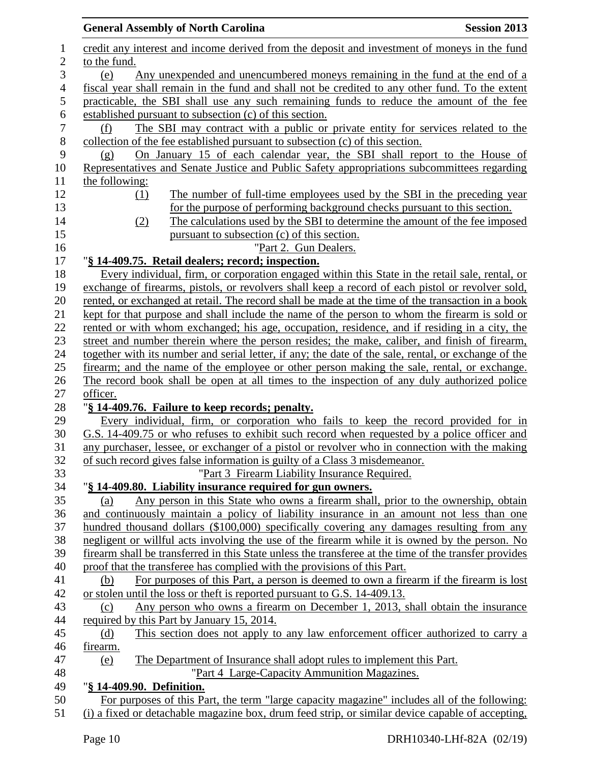|                | <b>General Assembly of North Carolina</b><br><b>Session 2013</b>                                                                                                                                 |
|----------------|--------------------------------------------------------------------------------------------------------------------------------------------------------------------------------------------------|
| 1              | credit any interest and income derived from the deposit and investment of moneys in the fund                                                                                                     |
| $\overline{2}$ | to the fund.                                                                                                                                                                                     |
| 3              | Any unexpended and unencumbered moneys remaining in the fund at the end of a<br>(e)                                                                                                              |
| $\overline{4}$ | fiscal year shall remain in the fund and shall not be credited to any other fund. To the extent                                                                                                  |
| $\mathfrak s$  | practicable, the SBI shall use any such remaining funds to reduce the amount of the fee                                                                                                          |
| 6              | established pursuant to subsection (c) of this section.                                                                                                                                          |
| $\tau$         | The SBI may contract with a public or private entity for services related to the<br>(f)                                                                                                          |
| $8\,$          | collection of the fee established pursuant to subsection (c) of this section.                                                                                                                    |
| 9              | On January 15 of each calendar year, the SBI shall report to the House of<br>(g)                                                                                                                 |
| 10             | Representatives and Senate Justice and Public Safety appropriations subcommittees regarding                                                                                                      |
| 11             | the following:                                                                                                                                                                                   |
| 12             | The number of full-time employees used by the SBI in the preceding year<br>(1)                                                                                                                   |
| 13             | for the purpose of performing background checks pursuant to this section.                                                                                                                        |
| 14             | The calculations used by the SBI to determine the amount of the fee imposed<br>(2)                                                                                                               |
| 15             | pursuant to subsection (c) of this section.                                                                                                                                                      |
| 16             | "Part 2. Gun Dealers.                                                                                                                                                                            |
|                | "§ 14-409.75. Retail dealers; record; inspection.                                                                                                                                                |
| 17<br>18       | Every individual, firm, or corporation engaged within this State in the retail sale, rental, or                                                                                                  |
|                | exchange of firearms, pistols, or revolvers shall keep a record of each pistol or revolver sold,                                                                                                 |
| 19<br>20       | rented, or exchanged at retail. The record shall be made at the time of the transaction in a book                                                                                                |
|                | kept for that purpose and shall include the name of the person to whom the firearm is sold or                                                                                                    |
|                | rented or with whom exchanged; his age, occupation, residence, and if residing in a city, the                                                                                                    |
|                | street and number therein where the person resides; the make, caliber, and finish of firearm,                                                                                                    |
|                | together with its number and serial letter, if any; the date of the sale, rental, or exchange of the                                                                                             |
|                | firearm; and the name of the employee or other person making the sale, rental, or exchange.                                                                                                      |
|                | The record book shall be open at all times to the inspection of any duly authorized police                                                                                                       |
|                | officer.                                                                                                                                                                                         |
|                | "§ 14-409.76. Failure to keep records; penalty.                                                                                                                                                  |
| 28<br>29       | Every individual, firm, or corporation who fails to keep the record provided for in                                                                                                              |
|                | G.S. 14-409.75 or who refuses to exhibit such record when requested by a police officer and                                                                                                      |
|                | any purchaser, lessee, or exchanger of a pistol or revolver who in connection with the making                                                                                                    |
|                | of such record gives false information is guilty of a Class 3 misdemeanor.                                                                                                                       |
|                | "Part 3 Firearm Liability Insurance Required.                                                                                                                                                    |
|                | "§ 14-409.80. Liability insurance required for gun owners.                                                                                                                                       |
|                | Any person in this State who owns a firearm shall, prior to the ownership, obtain<br>(a)                                                                                                         |
|                | and continuously maintain a policy of liability insurance in an amount not less than one                                                                                                         |
|                | hundred thousand dollars (\$100,000) specifically covering any damages resulting from any                                                                                                        |
|                | negligent or willful acts involving the use of the firearm while it is owned by the person. No                                                                                                   |
|                | firearm shall be transferred in this State unless the transferee at the time of the transfer provides                                                                                            |
|                | proof that the transferee has complied with the provisions of this Part.                                                                                                                         |
|                | For purposes of this Part, a person is deemed to own a firearm if the firearm is lost<br>(b)                                                                                                     |
|                | or stolen until the loss or theft is reported pursuant to G.S. 14-409.13.                                                                                                                        |
|                | Any person who owns a firearm on December 1, 2013, shall obtain the insurance<br>(c)                                                                                                             |
|                | required by this Part by January 15, 2014.                                                                                                                                                       |
| 44             | This section does not apply to any law enforcement officer authorized to carry a<br>(d)                                                                                                          |
|                | firearm.                                                                                                                                                                                         |
| 46             |                                                                                                                                                                                                  |
| 47<br>48       | The Department of Insurance shall adopt rules to implement this Part.<br>(e)<br>"Part 4 Large-Capacity Ammunition Magazines.                                                                     |
|                |                                                                                                                                                                                                  |
|                | "§ 14-409.90. Definition.                                                                                                                                                                        |
|                | For purposes of this Part, the term "large capacity magazine" includes all of the following:<br>(i) a fixed or detachable magazine box, drum feed strip, or similar device capable of accepting, |
| 51             |                                                                                                                                                                                                  |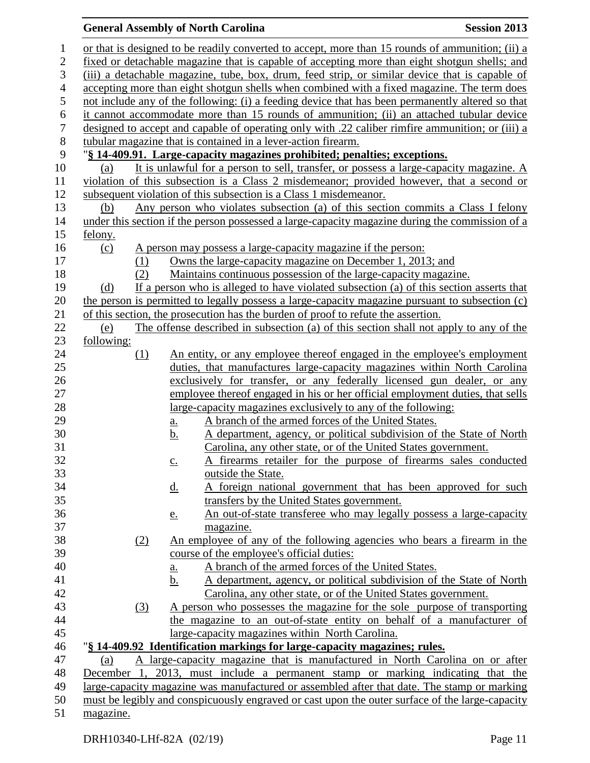## **General Assembly of North Carolina Session 2013** or that is designed to be readily converted to accept, more than 15 rounds of ammunition; (ii) a fixed or detachable magazine that is capable of accepting more than eight shotgun shells; and (iii) a detachable magazine, tube, box, drum, feed strip, or similar device that is capable of accepting more than eight shotgun shells when combined with a fixed magazine. The term does not include any of the following: (i) a feeding device that has been permanently altered so that it cannot accommodate more than 15 rounds of ammunition; (ii) an attached tubular device designed to accept and capable of operating only with .22 caliber rimfire ammunition; or (iii) a tubular magazine that is contained in a lever-action firearm. "**§ 14-409.91. Large-capacity magazines prohibited; penalties; exceptions.** (a) It is unlawful for a person to sell, transfer, or possess a large-capacity magazine. A violation of this subsection is a Class 2 misdemeanor; provided however, that a second or subsequent violation of this subsection is a Class 1 misdemeanor. (b) Any person who violates subsection (a) of this section commits a Class I felony under this section if the person possessed a large-capacity magazine during the commission of a felony. (c) A person may possess a large-capacity magazine if the person: (1) Owns the large-capacity magazine on December 1, 2013; and (2) Maintains continuous possession of the large-capacity magazine. (d) If a person who is alleged to have violated subsection (a) of this section asserts that the person is permitted to legally possess a large-capacity magazine pursuant to subsection (c) of this section, the prosecution has the burden of proof to refute the assertion. (e) The offense described in subsection (a) of this section shall not apply to any of the following: 24 (1) An entity, or any employee thereof engaged in the employee's employment duties, that manufactures large-capacity magazines within North Carolina exclusively for transfer, or any federally licensed gun dealer, or any employee thereof engaged in his or her official employment duties, that sells large-capacity magazines exclusively to any of the following: a. A branch of the armed forces of the United States. b. A department, agency, or political subdivision of the State of North Carolina, any other state, or of the United States government. c. A firearms retailer for the purpose of firearms sales conducted outside the State. 34 d. A foreign national government that has been approved for such transfers by the United States government. e. An out-of-state transferee who may legally possess a large-capacity magazine. (2) An employee of any of the following agencies who bears a firearm in the course of the employee's official duties: a. A branch of the armed forces of the United States. b. A department, agency, or political subdivision of the State of North Carolina, any other state, or of the United States government. (3) A person who possesses the magazine for the sole purpose of transporting the magazine to an out-of-state entity on behalf of a manufacturer of large-capacity magazines within North Carolina. "**§ 14-409.92 Identification markings for large-capacity magazines; rules.** (a) A large-capacity magazine that is manufactured in North Carolina on or after December 1, 2013, must include a permanent stamp or marking indicating that the large-capacity magazine was manufactured or assembled after that date. The stamp or marking

must be legibly and conspicuously engraved or cast upon the outer surface of the large-capacity

magazine.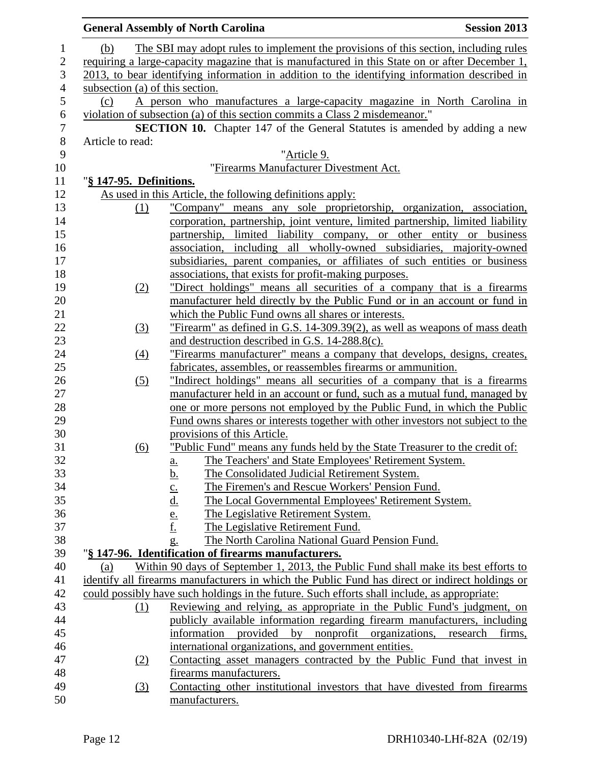| <b>General Assembly of North Carolina</b> | <b>Session 2013</b>                                                                                                                                                                                                                                                                                                                                                                                                                                                                                                                                                                                                                                                                                                                                                                                                                                                                                                                                                                                                                                                                                                                                                                                                                                                                                                                                                                                                                                                                                                                                                                                                                                                                                                                                                                                                                                                                                                                                                                                                                                                                                                                                                                                                                                                                                                                                                                                                                                                                                                                                                                                                                                                                                                                                                                                                                                                                                                                                                                                                                                                                                                                                                                                                                                                                                                                                                      |
|-------------------------------------------|--------------------------------------------------------------------------------------------------------------------------------------------------------------------------------------------------------------------------------------------------------------------------------------------------------------------------------------------------------------------------------------------------------------------------------------------------------------------------------------------------------------------------------------------------------------------------------------------------------------------------------------------------------------------------------------------------------------------------------------------------------------------------------------------------------------------------------------------------------------------------------------------------------------------------------------------------------------------------------------------------------------------------------------------------------------------------------------------------------------------------------------------------------------------------------------------------------------------------------------------------------------------------------------------------------------------------------------------------------------------------------------------------------------------------------------------------------------------------------------------------------------------------------------------------------------------------------------------------------------------------------------------------------------------------------------------------------------------------------------------------------------------------------------------------------------------------------------------------------------------------------------------------------------------------------------------------------------------------------------------------------------------------------------------------------------------------------------------------------------------------------------------------------------------------------------------------------------------------------------------------------------------------------------------------------------------------------------------------------------------------------------------------------------------------------------------------------------------------------------------------------------------------------------------------------------------------------------------------------------------------------------------------------------------------------------------------------------------------------------------------------------------------------------------------------------------------------------------------------------------------------------------------------------------------------------------------------------------------------------------------------------------------------------------------------------------------------------------------------------------------------------------------------------------------------------------------------------------------------------------------------------------------------------------------------------------------------------------------------------------------|
|                                           |                                                                                                                                                                                                                                                                                                                                                                                                                                                                                                                                                                                                                                                                                                                                                                                                                                                                                                                                                                                                                                                                                                                                                                                                                                                                                                                                                                                                                                                                                                                                                                                                                                                                                                                                                                                                                                                                                                                                                                                                                                                                                                                                                                                                                                                                                                                                                                                                                                                                                                                                                                                                                                                                                                                                                                                                                                                                                                                                                                                                                                                                                                                                                                                                                                                                                                                                                                          |
|                                           |                                                                                                                                                                                                                                                                                                                                                                                                                                                                                                                                                                                                                                                                                                                                                                                                                                                                                                                                                                                                                                                                                                                                                                                                                                                                                                                                                                                                                                                                                                                                                                                                                                                                                                                                                                                                                                                                                                                                                                                                                                                                                                                                                                                                                                                                                                                                                                                                                                                                                                                                                                                                                                                                                                                                                                                                                                                                                                                                                                                                                                                                                                                                                                                                                                                                                                                                                                          |
|                                           |                                                                                                                                                                                                                                                                                                                                                                                                                                                                                                                                                                                                                                                                                                                                                                                                                                                                                                                                                                                                                                                                                                                                                                                                                                                                                                                                                                                                                                                                                                                                                                                                                                                                                                                                                                                                                                                                                                                                                                                                                                                                                                                                                                                                                                                                                                                                                                                                                                                                                                                                                                                                                                                                                                                                                                                                                                                                                                                                                                                                                                                                                                                                                                                                                                                                                                                                                                          |
|                                           |                                                                                                                                                                                                                                                                                                                                                                                                                                                                                                                                                                                                                                                                                                                                                                                                                                                                                                                                                                                                                                                                                                                                                                                                                                                                                                                                                                                                                                                                                                                                                                                                                                                                                                                                                                                                                                                                                                                                                                                                                                                                                                                                                                                                                                                                                                                                                                                                                                                                                                                                                                                                                                                                                                                                                                                                                                                                                                                                                                                                                                                                                                                                                                                                                                                                                                                                                                          |
|                                           |                                                                                                                                                                                                                                                                                                                                                                                                                                                                                                                                                                                                                                                                                                                                                                                                                                                                                                                                                                                                                                                                                                                                                                                                                                                                                                                                                                                                                                                                                                                                                                                                                                                                                                                                                                                                                                                                                                                                                                                                                                                                                                                                                                                                                                                                                                                                                                                                                                                                                                                                                                                                                                                                                                                                                                                                                                                                                                                                                                                                                                                                                                                                                                                                                                                                                                                                                                          |
|                                           |                                                                                                                                                                                                                                                                                                                                                                                                                                                                                                                                                                                                                                                                                                                                                                                                                                                                                                                                                                                                                                                                                                                                                                                                                                                                                                                                                                                                                                                                                                                                                                                                                                                                                                                                                                                                                                                                                                                                                                                                                                                                                                                                                                                                                                                                                                                                                                                                                                                                                                                                                                                                                                                                                                                                                                                                                                                                                                                                                                                                                                                                                                                                                                                                                                                                                                                                                                          |
|                                           |                                                                                                                                                                                                                                                                                                                                                                                                                                                                                                                                                                                                                                                                                                                                                                                                                                                                                                                                                                                                                                                                                                                                                                                                                                                                                                                                                                                                                                                                                                                                                                                                                                                                                                                                                                                                                                                                                                                                                                                                                                                                                                                                                                                                                                                                                                                                                                                                                                                                                                                                                                                                                                                                                                                                                                                                                                                                                                                                                                                                                                                                                                                                                                                                                                                                                                                                                                          |
|                                           |                                                                                                                                                                                                                                                                                                                                                                                                                                                                                                                                                                                                                                                                                                                                                                                                                                                                                                                                                                                                                                                                                                                                                                                                                                                                                                                                                                                                                                                                                                                                                                                                                                                                                                                                                                                                                                                                                                                                                                                                                                                                                                                                                                                                                                                                                                                                                                                                                                                                                                                                                                                                                                                                                                                                                                                                                                                                                                                                                                                                                                                                                                                                                                                                                                                                                                                                                                          |
|                                           |                                                                                                                                                                                                                                                                                                                                                                                                                                                                                                                                                                                                                                                                                                                                                                                                                                                                                                                                                                                                                                                                                                                                                                                                                                                                                                                                                                                                                                                                                                                                                                                                                                                                                                                                                                                                                                                                                                                                                                                                                                                                                                                                                                                                                                                                                                                                                                                                                                                                                                                                                                                                                                                                                                                                                                                                                                                                                                                                                                                                                                                                                                                                                                                                                                                                                                                                                                          |
|                                           |                                                                                                                                                                                                                                                                                                                                                                                                                                                                                                                                                                                                                                                                                                                                                                                                                                                                                                                                                                                                                                                                                                                                                                                                                                                                                                                                                                                                                                                                                                                                                                                                                                                                                                                                                                                                                                                                                                                                                                                                                                                                                                                                                                                                                                                                                                                                                                                                                                                                                                                                                                                                                                                                                                                                                                                                                                                                                                                                                                                                                                                                                                                                                                                                                                                                                                                                                                          |
|                                           |                                                                                                                                                                                                                                                                                                                                                                                                                                                                                                                                                                                                                                                                                                                                                                                                                                                                                                                                                                                                                                                                                                                                                                                                                                                                                                                                                                                                                                                                                                                                                                                                                                                                                                                                                                                                                                                                                                                                                                                                                                                                                                                                                                                                                                                                                                                                                                                                                                                                                                                                                                                                                                                                                                                                                                                                                                                                                                                                                                                                                                                                                                                                                                                                                                                                                                                                                                          |
|                                           |                                                                                                                                                                                                                                                                                                                                                                                                                                                                                                                                                                                                                                                                                                                                                                                                                                                                                                                                                                                                                                                                                                                                                                                                                                                                                                                                                                                                                                                                                                                                                                                                                                                                                                                                                                                                                                                                                                                                                                                                                                                                                                                                                                                                                                                                                                                                                                                                                                                                                                                                                                                                                                                                                                                                                                                                                                                                                                                                                                                                                                                                                                                                                                                                                                                                                                                                                                          |
|                                           |                                                                                                                                                                                                                                                                                                                                                                                                                                                                                                                                                                                                                                                                                                                                                                                                                                                                                                                                                                                                                                                                                                                                                                                                                                                                                                                                                                                                                                                                                                                                                                                                                                                                                                                                                                                                                                                                                                                                                                                                                                                                                                                                                                                                                                                                                                                                                                                                                                                                                                                                                                                                                                                                                                                                                                                                                                                                                                                                                                                                                                                                                                                                                                                                                                                                                                                                                                          |
|                                           |                                                                                                                                                                                                                                                                                                                                                                                                                                                                                                                                                                                                                                                                                                                                                                                                                                                                                                                                                                                                                                                                                                                                                                                                                                                                                                                                                                                                                                                                                                                                                                                                                                                                                                                                                                                                                                                                                                                                                                                                                                                                                                                                                                                                                                                                                                                                                                                                                                                                                                                                                                                                                                                                                                                                                                                                                                                                                                                                                                                                                                                                                                                                                                                                                                                                                                                                                                          |
|                                           |                                                                                                                                                                                                                                                                                                                                                                                                                                                                                                                                                                                                                                                                                                                                                                                                                                                                                                                                                                                                                                                                                                                                                                                                                                                                                                                                                                                                                                                                                                                                                                                                                                                                                                                                                                                                                                                                                                                                                                                                                                                                                                                                                                                                                                                                                                                                                                                                                                                                                                                                                                                                                                                                                                                                                                                                                                                                                                                                                                                                                                                                                                                                                                                                                                                                                                                                                                          |
|                                           |                                                                                                                                                                                                                                                                                                                                                                                                                                                                                                                                                                                                                                                                                                                                                                                                                                                                                                                                                                                                                                                                                                                                                                                                                                                                                                                                                                                                                                                                                                                                                                                                                                                                                                                                                                                                                                                                                                                                                                                                                                                                                                                                                                                                                                                                                                                                                                                                                                                                                                                                                                                                                                                                                                                                                                                                                                                                                                                                                                                                                                                                                                                                                                                                                                                                                                                                                                          |
|                                           |                                                                                                                                                                                                                                                                                                                                                                                                                                                                                                                                                                                                                                                                                                                                                                                                                                                                                                                                                                                                                                                                                                                                                                                                                                                                                                                                                                                                                                                                                                                                                                                                                                                                                                                                                                                                                                                                                                                                                                                                                                                                                                                                                                                                                                                                                                                                                                                                                                                                                                                                                                                                                                                                                                                                                                                                                                                                                                                                                                                                                                                                                                                                                                                                                                                                                                                                                                          |
|                                           |                                                                                                                                                                                                                                                                                                                                                                                                                                                                                                                                                                                                                                                                                                                                                                                                                                                                                                                                                                                                                                                                                                                                                                                                                                                                                                                                                                                                                                                                                                                                                                                                                                                                                                                                                                                                                                                                                                                                                                                                                                                                                                                                                                                                                                                                                                                                                                                                                                                                                                                                                                                                                                                                                                                                                                                                                                                                                                                                                                                                                                                                                                                                                                                                                                                                                                                                                                          |
|                                           |                                                                                                                                                                                                                                                                                                                                                                                                                                                                                                                                                                                                                                                                                                                                                                                                                                                                                                                                                                                                                                                                                                                                                                                                                                                                                                                                                                                                                                                                                                                                                                                                                                                                                                                                                                                                                                                                                                                                                                                                                                                                                                                                                                                                                                                                                                                                                                                                                                                                                                                                                                                                                                                                                                                                                                                                                                                                                                                                                                                                                                                                                                                                                                                                                                                                                                                                                                          |
|                                           |                                                                                                                                                                                                                                                                                                                                                                                                                                                                                                                                                                                                                                                                                                                                                                                                                                                                                                                                                                                                                                                                                                                                                                                                                                                                                                                                                                                                                                                                                                                                                                                                                                                                                                                                                                                                                                                                                                                                                                                                                                                                                                                                                                                                                                                                                                                                                                                                                                                                                                                                                                                                                                                                                                                                                                                                                                                                                                                                                                                                                                                                                                                                                                                                                                                                                                                                                                          |
|                                           |                                                                                                                                                                                                                                                                                                                                                                                                                                                                                                                                                                                                                                                                                                                                                                                                                                                                                                                                                                                                                                                                                                                                                                                                                                                                                                                                                                                                                                                                                                                                                                                                                                                                                                                                                                                                                                                                                                                                                                                                                                                                                                                                                                                                                                                                                                                                                                                                                                                                                                                                                                                                                                                                                                                                                                                                                                                                                                                                                                                                                                                                                                                                                                                                                                                                                                                                                                          |
|                                           |                                                                                                                                                                                                                                                                                                                                                                                                                                                                                                                                                                                                                                                                                                                                                                                                                                                                                                                                                                                                                                                                                                                                                                                                                                                                                                                                                                                                                                                                                                                                                                                                                                                                                                                                                                                                                                                                                                                                                                                                                                                                                                                                                                                                                                                                                                                                                                                                                                                                                                                                                                                                                                                                                                                                                                                                                                                                                                                                                                                                                                                                                                                                                                                                                                                                                                                                                                          |
|                                           |                                                                                                                                                                                                                                                                                                                                                                                                                                                                                                                                                                                                                                                                                                                                                                                                                                                                                                                                                                                                                                                                                                                                                                                                                                                                                                                                                                                                                                                                                                                                                                                                                                                                                                                                                                                                                                                                                                                                                                                                                                                                                                                                                                                                                                                                                                                                                                                                                                                                                                                                                                                                                                                                                                                                                                                                                                                                                                                                                                                                                                                                                                                                                                                                                                                                                                                                                                          |
|                                           |                                                                                                                                                                                                                                                                                                                                                                                                                                                                                                                                                                                                                                                                                                                                                                                                                                                                                                                                                                                                                                                                                                                                                                                                                                                                                                                                                                                                                                                                                                                                                                                                                                                                                                                                                                                                                                                                                                                                                                                                                                                                                                                                                                                                                                                                                                                                                                                                                                                                                                                                                                                                                                                                                                                                                                                                                                                                                                                                                                                                                                                                                                                                                                                                                                                                                                                                                                          |
|                                           |                                                                                                                                                                                                                                                                                                                                                                                                                                                                                                                                                                                                                                                                                                                                                                                                                                                                                                                                                                                                                                                                                                                                                                                                                                                                                                                                                                                                                                                                                                                                                                                                                                                                                                                                                                                                                                                                                                                                                                                                                                                                                                                                                                                                                                                                                                                                                                                                                                                                                                                                                                                                                                                                                                                                                                                                                                                                                                                                                                                                                                                                                                                                                                                                                                                                                                                                                                          |
|                                           |                                                                                                                                                                                                                                                                                                                                                                                                                                                                                                                                                                                                                                                                                                                                                                                                                                                                                                                                                                                                                                                                                                                                                                                                                                                                                                                                                                                                                                                                                                                                                                                                                                                                                                                                                                                                                                                                                                                                                                                                                                                                                                                                                                                                                                                                                                                                                                                                                                                                                                                                                                                                                                                                                                                                                                                                                                                                                                                                                                                                                                                                                                                                                                                                                                                                                                                                                                          |
|                                           |                                                                                                                                                                                                                                                                                                                                                                                                                                                                                                                                                                                                                                                                                                                                                                                                                                                                                                                                                                                                                                                                                                                                                                                                                                                                                                                                                                                                                                                                                                                                                                                                                                                                                                                                                                                                                                                                                                                                                                                                                                                                                                                                                                                                                                                                                                                                                                                                                                                                                                                                                                                                                                                                                                                                                                                                                                                                                                                                                                                                                                                                                                                                                                                                                                                                                                                                                                          |
|                                           |                                                                                                                                                                                                                                                                                                                                                                                                                                                                                                                                                                                                                                                                                                                                                                                                                                                                                                                                                                                                                                                                                                                                                                                                                                                                                                                                                                                                                                                                                                                                                                                                                                                                                                                                                                                                                                                                                                                                                                                                                                                                                                                                                                                                                                                                                                                                                                                                                                                                                                                                                                                                                                                                                                                                                                                                                                                                                                                                                                                                                                                                                                                                                                                                                                                                                                                                                                          |
|                                           |                                                                                                                                                                                                                                                                                                                                                                                                                                                                                                                                                                                                                                                                                                                                                                                                                                                                                                                                                                                                                                                                                                                                                                                                                                                                                                                                                                                                                                                                                                                                                                                                                                                                                                                                                                                                                                                                                                                                                                                                                                                                                                                                                                                                                                                                                                                                                                                                                                                                                                                                                                                                                                                                                                                                                                                                                                                                                                                                                                                                                                                                                                                                                                                                                                                                                                                                                                          |
|                                           |                                                                                                                                                                                                                                                                                                                                                                                                                                                                                                                                                                                                                                                                                                                                                                                                                                                                                                                                                                                                                                                                                                                                                                                                                                                                                                                                                                                                                                                                                                                                                                                                                                                                                                                                                                                                                                                                                                                                                                                                                                                                                                                                                                                                                                                                                                                                                                                                                                                                                                                                                                                                                                                                                                                                                                                                                                                                                                                                                                                                                                                                                                                                                                                                                                                                                                                                                                          |
|                                           |                                                                                                                                                                                                                                                                                                                                                                                                                                                                                                                                                                                                                                                                                                                                                                                                                                                                                                                                                                                                                                                                                                                                                                                                                                                                                                                                                                                                                                                                                                                                                                                                                                                                                                                                                                                                                                                                                                                                                                                                                                                                                                                                                                                                                                                                                                                                                                                                                                                                                                                                                                                                                                                                                                                                                                                                                                                                                                                                                                                                                                                                                                                                                                                                                                                                                                                                                                          |
|                                           |                                                                                                                                                                                                                                                                                                                                                                                                                                                                                                                                                                                                                                                                                                                                                                                                                                                                                                                                                                                                                                                                                                                                                                                                                                                                                                                                                                                                                                                                                                                                                                                                                                                                                                                                                                                                                                                                                                                                                                                                                                                                                                                                                                                                                                                                                                                                                                                                                                                                                                                                                                                                                                                                                                                                                                                                                                                                                                                                                                                                                                                                                                                                                                                                                                                                                                                                                                          |
|                                           |                                                                                                                                                                                                                                                                                                                                                                                                                                                                                                                                                                                                                                                                                                                                                                                                                                                                                                                                                                                                                                                                                                                                                                                                                                                                                                                                                                                                                                                                                                                                                                                                                                                                                                                                                                                                                                                                                                                                                                                                                                                                                                                                                                                                                                                                                                                                                                                                                                                                                                                                                                                                                                                                                                                                                                                                                                                                                                                                                                                                                                                                                                                                                                                                                                                                                                                                                                          |
|                                           |                                                                                                                                                                                                                                                                                                                                                                                                                                                                                                                                                                                                                                                                                                                                                                                                                                                                                                                                                                                                                                                                                                                                                                                                                                                                                                                                                                                                                                                                                                                                                                                                                                                                                                                                                                                                                                                                                                                                                                                                                                                                                                                                                                                                                                                                                                                                                                                                                                                                                                                                                                                                                                                                                                                                                                                                                                                                                                                                                                                                                                                                                                                                                                                                                                                                                                                                                                          |
|                                           |                                                                                                                                                                                                                                                                                                                                                                                                                                                                                                                                                                                                                                                                                                                                                                                                                                                                                                                                                                                                                                                                                                                                                                                                                                                                                                                                                                                                                                                                                                                                                                                                                                                                                                                                                                                                                                                                                                                                                                                                                                                                                                                                                                                                                                                                                                                                                                                                                                                                                                                                                                                                                                                                                                                                                                                                                                                                                                                                                                                                                                                                                                                                                                                                                                                                                                                                                                          |
|                                           |                                                                                                                                                                                                                                                                                                                                                                                                                                                                                                                                                                                                                                                                                                                                                                                                                                                                                                                                                                                                                                                                                                                                                                                                                                                                                                                                                                                                                                                                                                                                                                                                                                                                                                                                                                                                                                                                                                                                                                                                                                                                                                                                                                                                                                                                                                                                                                                                                                                                                                                                                                                                                                                                                                                                                                                                                                                                                                                                                                                                                                                                                                                                                                                                                                                                                                                                                                          |
|                                           |                                                                                                                                                                                                                                                                                                                                                                                                                                                                                                                                                                                                                                                                                                                                                                                                                                                                                                                                                                                                                                                                                                                                                                                                                                                                                                                                                                                                                                                                                                                                                                                                                                                                                                                                                                                                                                                                                                                                                                                                                                                                                                                                                                                                                                                                                                                                                                                                                                                                                                                                                                                                                                                                                                                                                                                                                                                                                                                                                                                                                                                                                                                                                                                                                                                                                                                                                                          |
|                                           |                                                                                                                                                                                                                                                                                                                                                                                                                                                                                                                                                                                                                                                                                                                                                                                                                                                                                                                                                                                                                                                                                                                                                                                                                                                                                                                                                                                                                                                                                                                                                                                                                                                                                                                                                                                                                                                                                                                                                                                                                                                                                                                                                                                                                                                                                                                                                                                                                                                                                                                                                                                                                                                                                                                                                                                                                                                                                                                                                                                                                                                                                                                                                                                                                                                                                                                                                                          |
|                                           |                                                                                                                                                                                                                                                                                                                                                                                                                                                                                                                                                                                                                                                                                                                                                                                                                                                                                                                                                                                                                                                                                                                                                                                                                                                                                                                                                                                                                                                                                                                                                                                                                                                                                                                                                                                                                                                                                                                                                                                                                                                                                                                                                                                                                                                                                                                                                                                                                                                                                                                                                                                                                                                                                                                                                                                                                                                                                                                                                                                                                                                                                                                                                                                                                                                                                                                                                                          |
|                                           |                                                                                                                                                                                                                                                                                                                                                                                                                                                                                                                                                                                                                                                                                                                                                                                                                                                                                                                                                                                                                                                                                                                                                                                                                                                                                                                                                                                                                                                                                                                                                                                                                                                                                                                                                                                                                                                                                                                                                                                                                                                                                                                                                                                                                                                                                                                                                                                                                                                                                                                                                                                                                                                                                                                                                                                                                                                                                                                                                                                                                                                                                                                                                                                                                                                                                                                                                                          |
|                                           |                                                                                                                                                                                                                                                                                                                                                                                                                                                                                                                                                                                                                                                                                                                                                                                                                                                                                                                                                                                                                                                                                                                                                                                                                                                                                                                                                                                                                                                                                                                                                                                                                                                                                                                                                                                                                                                                                                                                                                                                                                                                                                                                                                                                                                                                                                                                                                                                                                                                                                                                                                                                                                                                                                                                                                                                                                                                                                                                                                                                                                                                                                                                                                                                                                                                                                                                                                          |
|                                           |                                                                                                                                                                                                                                                                                                                                                                                                                                                                                                                                                                                                                                                                                                                                                                                                                                                                                                                                                                                                                                                                                                                                                                                                                                                                                                                                                                                                                                                                                                                                                                                                                                                                                                                                                                                                                                                                                                                                                                                                                                                                                                                                                                                                                                                                                                                                                                                                                                                                                                                                                                                                                                                                                                                                                                                                                                                                                                                                                                                                                                                                                                                                                                                                                                                                                                                                                                          |
|                                           |                                                                                                                                                                                                                                                                                                                                                                                                                                                                                                                                                                                                                                                                                                                                                                                                                                                                                                                                                                                                                                                                                                                                                                                                                                                                                                                                                                                                                                                                                                                                                                                                                                                                                                                                                                                                                                                                                                                                                                                                                                                                                                                                                                                                                                                                                                                                                                                                                                                                                                                                                                                                                                                                                                                                                                                                                                                                                                                                                                                                                                                                                                                                                                                                                                                                                                                                                                          |
|                                           |                                                                                                                                                                                                                                                                                                                                                                                                                                                                                                                                                                                                                                                                                                                                                                                                                                                                                                                                                                                                                                                                                                                                                                                                                                                                                                                                                                                                                                                                                                                                                                                                                                                                                                                                                                                                                                                                                                                                                                                                                                                                                                                                                                                                                                                                                                                                                                                                                                                                                                                                                                                                                                                                                                                                                                                                                                                                                                                                                                                                                                                                                                                                                                                                                                                                                                                                                                          |
|                                           | firms,                                                                                                                                                                                                                                                                                                                                                                                                                                                                                                                                                                                                                                                                                                                                                                                                                                                                                                                                                                                                                                                                                                                                                                                                                                                                                                                                                                                                                                                                                                                                                                                                                                                                                                                                                                                                                                                                                                                                                                                                                                                                                                                                                                                                                                                                                                                                                                                                                                                                                                                                                                                                                                                                                                                                                                                                                                                                                                                                                                                                                                                                                                                                                                                                                                                                                                                                                                   |
|                                           |                                                                                                                                                                                                                                                                                                                                                                                                                                                                                                                                                                                                                                                                                                                                                                                                                                                                                                                                                                                                                                                                                                                                                                                                                                                                                                                                                                                                                                                                                                                                                                                                                                                                                                                                                                                                                                                                                                                                                                                                                                                                                                                                                                                                                                                                                                                                                                                                                                                                                                                                                                                                                                                                                                                                                                                                                                                                                                                                                                                                                                                                                                                                                                                                                                                                                                                                                                          |
|                                           |                                                                                                                                                                                                                                                                                                                                                                                                                                                                                                                                                                                                                                                                                                                                                                                                                                                                                                                                                                                                                                                                                                                                                                                                                                                                                                                                                                                                                                                                                                                                                                                                                                                                                                                                                                                                                                                                                                                                                                                                                                                                                                                                                                                                                                                                                                                                                                                                                                                                                                                                                                                                                                                                                                                                                                                                                                                                                                                                                                                                                                                                                                                                                                                                                                                                                                                                                                          |
|                                           |                                                                                                                                                                                                                                                                                                                                                                                                                                                                                                                                                                                                                                                                                                                                                                                                                                                                                                                                                                                                                                                                                                                                                                                                                                                                                                                                                                                                                                                                                                                                                                                                                                                                                                                                                                                                                                                                                                                                                                                                                                                                                                                                                                                                                                                                                                                                                                                                                                                                                                                                                                                                                                                                                                                                                                                                                                                                                                                                                                                                                                                                                                                                                                                                                                                                                                                                                                          |
|                                           |                                                                                                                                                                                                                                                                                                                                                                                                                                                                                                                                                                                                                                                                                                                                                                                                                                                                                                                                                                                                                                                                                                                                                                                                                                                                                                                                                                                                                                                                                                                                                                                                                                                                                                                                                                                                                                                                                                                                                                                                                                                                                                                                                                                                                                                                                                                                                                                                                                                                                                                                                                                                                                                                                                                                                                                                                                                                                                                                                                                                                                                                                                                                                                                                                                                                                                                                                                          |
| manufacturers.                            |                                                                                                                                                                                                                                                                                                                                                                                                                                                                                                                                                                                                                                                                                                                                                                                                                                                                                                                                                                                                                                                                                                                                                                                                                                                                                                                                                                                                                                                                                                                                                                                                                                                                                                                                                                                                                                                                                                                                                                                                                                                                                                                                                                                                                                                                                                                                                                                                                                                                                                                                                                                                                                                                                                                                                                                                                                                                                                                                                                                                                                                                                                                                                                                                                                                                                                                                                                          |
|                                           | The SBI may adopt rules to implement the provisions of this section, including rules<br>requiring a large-capacity magazine that is manufactured in this State on or after December 1,<br>2013, to bear identifying information in addition to the identifying information described in<br>subsection (a) of this section.<br>A person who manufactures a large-capacity magazine in North Carolina in<br>violation of subsection (a) of this section commits a Class 2 misdemeanor."<br><b>SECTION 10.</b> Chapter 147 of the General Statutes is amended by adding a new<br>"Article 9.<br>"Firearms Manufacturer Divestment Act.<br>"§ 147-95. Definitions.<br>As used in this Article, the following definitions apply:<br>"Company" means any sole proprietorship, organization, association,<br>corporation, partnership, joint venture, limited partnership, limited liability<br>partnership, limited liability company, or other entity or business<br>association, including all wholly-owned subsidiaries, majority-owned<br>subsidiaries, parent companies, or affiliates of such entities or business<br>associations, that exists for profit-making purposes.<br>"Direct holdings" means all securities of a company that is a firearms<br>manufacturer held directly by the Public Fund or in an account or fund in<br>which the Public Fund owns all shares or interests.<br>"Firearm" as defined in G.S. 14-309.39(2), as well as weapons of mass death<br>and destruction described in G.S. 14-288.8(c).<br>"Firearms manufacturer" means a company that develops, designs, creates,<br>fabricates, assembles, or reassembles firearms or ammunition.<br>"Indirect holdings" means all securities of a company that is a firearms<br>manufacturer held in an account or fund, such as a mutual fund, managed by<br>one or more persons not employed by the Public Fund, in which the Public<br>Fund owns shares or interests together with other investors not subject to the<br>provisions of this Article.<br>"Public Fund" means any funds held by the State Treasurer to the credit of:<br>The Teachers' and State Employees' Retirement System.<br>a.<br>The Consolidated Judicial Retirement System.<br><u>b.</u><br>The Firemen's and Rescue Workers' Pension Fund.<br>$\underline{c}$ .<br>$\frac{d.}{e.}$<br>$\underline{f.}$<br>The Local Governmental Employees' Retirement System.<br>The Legislative Retirement System.<br>The Legislative Retirement Fund.<br>The North Carolina National Guard Pension Fund.<br>g.<br>"§ 147-96. Identification of firearms manufacturers.<br>Within 90 days of September 1, 2013, the Public Fund shall make its best efforts to<br>identify all firearms manufacturers in which the Public Fund has direct or indirect holdings or<br>could possibly have such holdings in the future. Such efforts shall include, as appropriate:<br>Reviewing and relying, as appropriate in the Public Fund's judgment, on<br>publicly available information regarding firearm manufacturers, including<br>information<br>provided by nonprofit organizations, research<br>international organizations, and government entities.<br>Contacting asset managers contracted by the Public Fund that invest in<br>firearms manufacturers.<br>Contacting other institutional investors that have divested from firearms |